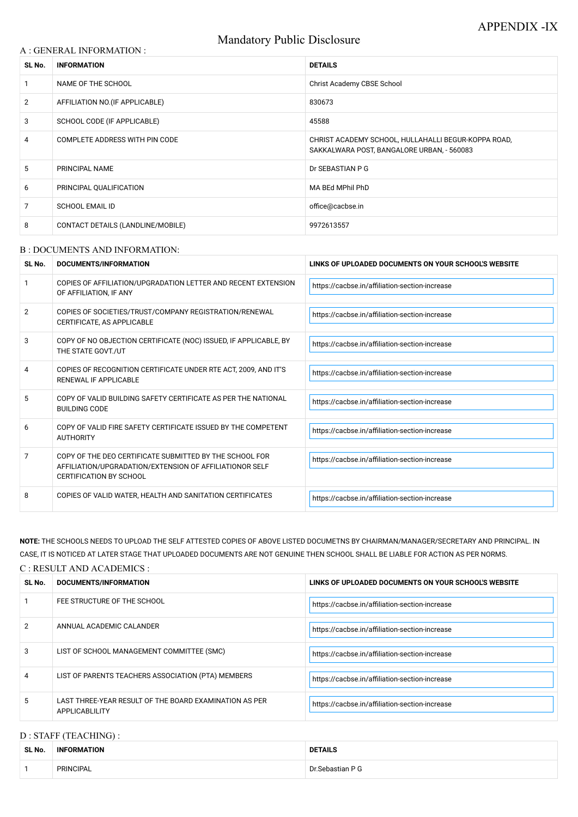# Mandatory Public Disclosure

### A : GENERAL INFORMATION :

| SL No.         | <b>INFORMATION</b>                | <b>DETAILS</b>                                                                                    |  |
|----------------|-----------------------------------|---------------------------------------------------------------------------------------------------|--|
|                | NAME OF THE SCHOOL                | <b>Christ Academy CBSE School</b>                                                                 |  |
| $\overline{2}$ | AFFILIATION NO. (IF APPLICABLE)   | 830673                                                                                            |  |
| 3              | SCHOOL CODE (IF APPLICABLE)       | 45588                                                                                             |  |
| 4              | COMPLETE ADDRESS WITH PIN CODE    | CHRIST ACADEMY SCHOOL, HULLAHALLI BEGUR-KOPPA ROAD,<br>SAKKALWARA POST, BANGALORE URBAN, - 560083 |  |
| 5              | PRINCIPAL NAME                    | Dr SEBASTIAN P G                                                                                  |  |
| 6              | PRINCIPAL QUALIFICATION           | MA BEd MPhil PhD                                                                                  |  |
| 7              | <b>SCHOOL EMAIL ID</b>            | office@cacbse.in                                                                                  |  |
| 8              | CONTACT DETAILS (LANDLINE/MOBILE) | 9972613557                                                                                        |  |

#### B : DOCUMENTS AND INFORMATION:

| SL No.         | <b>DOCUMENTS/INFORMATION</b>                                                                                                                         | LINKS OF UPLOADED DOCUMENTS ON YOUR SCHOOL'S WEBSITE |
|----------------|------------------------------------------------------------------------------------------------------------------------------------------------------|------------------------------------------------------|
|                | COPIES OF AFFILIATION/UPGRADATION LETTER AND RECENT EXTENSION<br>OF AFFILIATION, IF ANY                                                              | https://cacbse.in/affiliation-section-increase       |
| $\overline{2}$ | COPIES OF SOCIETIES/TRUST/COMPANY REGISTRATION/RENEWAL<br>CERTIFICATE, AS APPLICABLE                                                                 | https://cacbse.in/affiliation-section-increase       |
| 3              | COPY OF NO OBJECTION CERTIFICATE (NOC) ISSUED, IF APPLICABLE, BY<br>THE STATE GOVT./UT                                                               | https://cacbse.in/affiliation-section-increase       |
| 4              | COPIES OF RECOGNITION CERTIFICATE UNDER RTE ACT, 2009, AND IT'S<br>RENEWAL IF APPLICABLE                                                             | https://cacbse.in/affiliation-section-increase       |
| 5              | COPY OF VALID BUILDING SAFETY CERTIFICATE AS PER THE NATIONAL<br><b>BUILDING CODE</b>                                                                | https://cacbse.in/affiliation-section-increase       |
| 6              | COPY OF VALID FIRE SAFETY CERTIFICATE ISSUED BY THE COMPETENT<br><b>AUTHORITY</b>                                                                    | https://cacbse.in/affiliation-section-increase       |
| $\overline{7}$ | COPY OF THE DEO CERTIFICATE SUBMITTED BY THE SCHOOL FOR<br>AFFILIATION/UPGRADATION/EXTENSION OF AFFILIATIONOR SELF<br><b>CERTIFICATION BY SCHOOL</b> | https://cacbse.in/affiliation-section-increase       |
| 8              | COPIES OF VALID WATER, HEALTH AND SANITATION CERTIFICATES                                                                                            | https://cacbse.in/affiliation-section-increase       |

**NOTE:** THE SCHOOLS NEEDS TO UPLOAD THE SELF ATTESTED COPIES OF ABOVE LISTED DOCUMETNS BY CHAIRMAN/MANAGER/SECRETARY AND PRINCIPAL. IN CASE, IT IS NOTICED AT LATER STAGE THAT UPLOADED DOCUMENTS ARE NOT GENUINE THEN SCHOOL SHALL BE LIABLE FOR ACTION AS PER NORMS.

#### C : RESULT AND ACADEMICS :

| SL No. | <b>DOCUMENTS/INFORMATION</b> | LINKS OF UPLOADED DOCUMENTS ON YOUR SCHOOL'S WEBSITE |
|--------|------------------------------|------------------------------------------------------|
|        | FEE STRUCTURE OF THE SCHOOL  | https://cacbse.in/affiliation-section-increase       |

| 2 | ANNUAL ACADEMIC CALANDER                                                 | https://cacbse.in/affiliation-section-increase |
|---|--------------------------------------------------------------------------|------------------------------------------------|
| 3 | LIST OF SCHOOL MANAGEMENT COMMITTEE (SMC)                                | https://cacbse.in/affiliation-section-increase |
| 4 | LIST OF PARENTS TEACHERS ASSOCIATION (PTA) MEMBERS                       | https://cacbse.in/affiliation-section-increase |
| 5 | LAST THREE-YEAR RESULT OF THE BOARD EXAMINATION AS PER<br>APPLICABLILITY | https://cacbse.in/affiliation-section-increase |

# D : STAFF (TEACHING) :

| SL No. | <b>INFORMATION</b> | <b>DETAILS</b>    |
|--------|--------------------|-------------------|
|        | <b>PRINCIPAL</b>   | Dr. Sebastian P G |